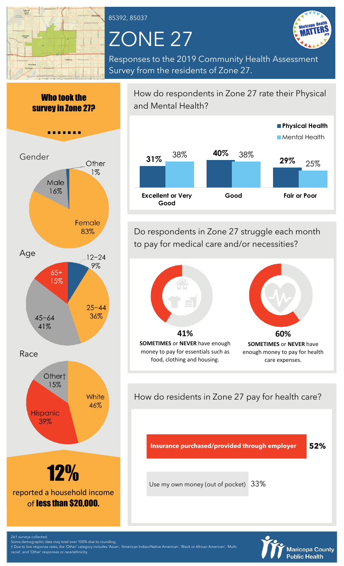

85392, 85037

## ZONE 27



Responses to the 2019 Community Health Assessment Survey from the residents of Zone 27.

Who took the survey in Zone 27?



How do respondents in Zone 27 rate their Physical and Mental Health?



Do respondents in Zone 27 struggle each month to pay for medical care and/or necessities?



How do residents in Zone 27 pay for health care?

**Insurance purchased/provided through employer 52%**

Use my own money (out of pocket)

33%



261 surveys collected.

Some demographic data may total over 100% due to rounding. † Due to low response rates, the 'Other' category includes 'Asian', 'American Indian/Native American', 'Black or African American', 'Multicial', and 'Other' responses or race/ethnicity